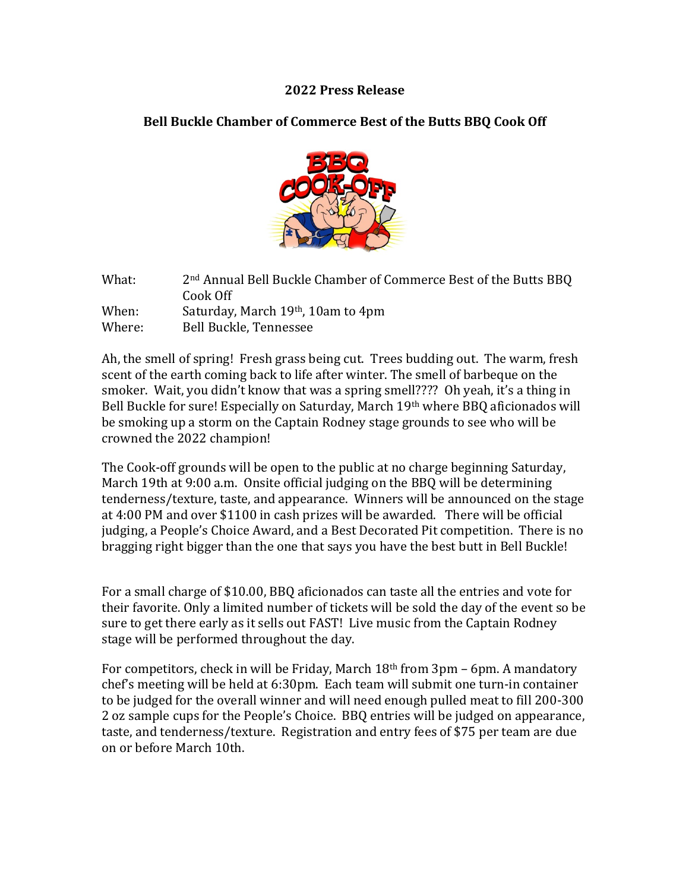#### **2022 Press Release**

## **Bell Buckle Chamber of Commerce Best of the Butts BBQ Cook Off**



| What:  | 2 <sup>nd</sup> Annual Bell Buckle Chamber of Commerce Best of the Butts BBQ |
|--------|------------------------------------------------------------------------------|
|        | Cook Off                                                                     |
| When:  | Saturday, March 19th, 10am to 4pm                                            |
| Where: | Bell Buckle, Tennessee                                                       |

Ah, the smell of spring! Fresh grass being cut. Trees budding out. The warm, fresh scent of the earth coming back to life after winter. The smell of barbeque on the smoker. Wait, you didn't know that was a spring smell???? Oh yeah, it's a thing in Bell Buckle for sure! Especially on Saturday, March 19th where BBQ aficionados will be smoking up a storm on the Captain Rodney stage grounds to see who will be crowned the 2022 champion!

The Cook-off grounds will be open to the public at no charge beginning Saturday, March 19th at 9:00 a.m. Onsite official judging on the BBQ will be determining tenderness/texture, taste, and appearance. Winners will be announced on the stage at 4:00 PM and over \$1100 in cash prizes will be awarded. There will be official judging, a People's Choice Award, and a Best Decorated Pit competition. There is no bragging right bigger than the one that says you have the best butt in Bell Buckle!

For a small charge of \$10.00, BBQ aficionados can taste all the entries and vote for their favorite. Only a limited number of tickets will be sold the day of the event so be sure to get there early as it sells out FAST! Live music from the Captain Rodney stage will be performed throughout the day.

For competitors, check in will be Friday, March  $18<sup>th</sup>$  from  $3pm - 6pm$ . A mandatory chef's meeting will be held at 6:30pm. Each team will submit one turn-in container to be judged for the overall winner and will need enough pulled meat to fill 200-300 2 oz sample cups for the People's Choice. BBQ entries will be judged on appearance, taste, and tenderness/texture. Registration and entry fees of \$75 per team are due on or before March 10th.